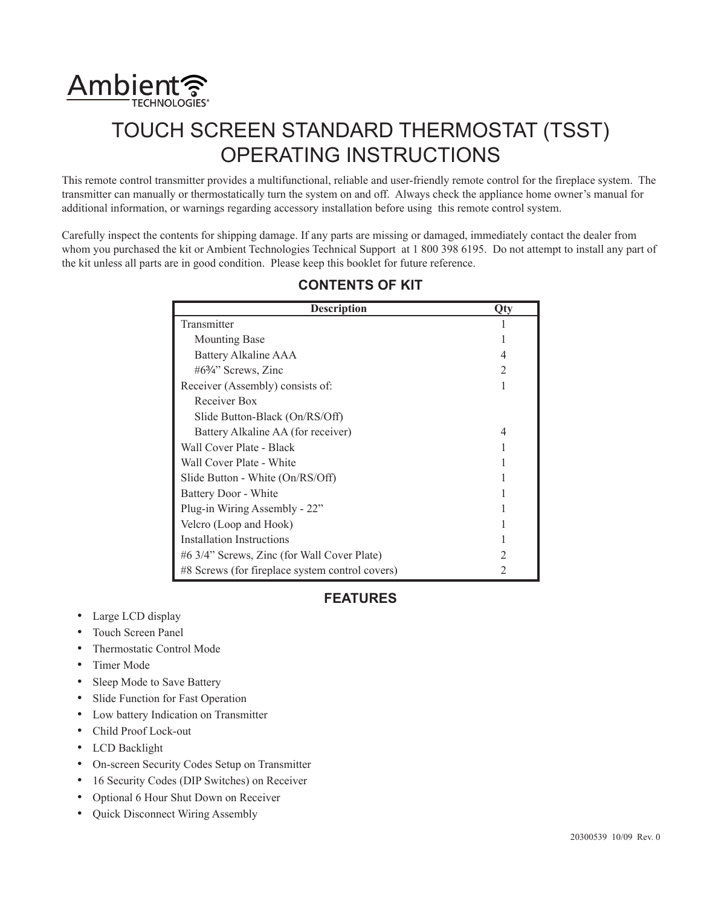

# TOUCH SCREEN STANDARD THERMOSTAT (TSST) OPERATING INSTRUCTIONS

This remote control transmitter provides a multifunctional, reliable and user-friendly remote control for the fireplace system. The transmitter can manually or thermostatically turn the system on and off. Always check the appliance home owner's manual for additional information, or warnings regarding accessory installation before using this remote control system.

Carefully inspect the contents for shipping damage. If any parts are missing or damaged, immediately contact the dealer from whom you purchased the kit or Ambient Technologies Technical Support at 1 800 398 6195. Do not attempt to install any part of the kit unless all parts are in good condition. Please keep this booklet for future reference.

| <b>Description</b>                              | Otv |
|-------------------------------------------------|-----|
| Transmitter                                     |     |
| <b>Mounting Base</b>                            |     |
| Battery Alkaline AAA                            |     |
| #63⁄4" Screws, Zinc                             | 7   |
| Receiver (Assembly) consists of:                |     |
| Receiver Box                                    |     |
| Slide Button-Black (On/RS/Off)                  |     |
| Battery Alkaline AA (for receiver)              | 4   |
| Wall Cover Plate - Black                        |     |
| Wall Cover Plate - White                        |     |
| Slide Button - White (On/RS/Off)                |     |
| Battery Door - White                            |     |
| Plug-in Wiring Assembly - 22"                   |     |
| Velcro (Loop and Hook)                          |     |
| <b>Installation Instructions</b>                |     |
| #6 3/4" Screws, Zinc (for Wall Cover Plate)     |     |
| #8 Screws (for fireplace system control covers) |     |

# **CONTENTS OF KIT**

# **FEATURES**

- Large LCD display
- Touch Screen Panel
- Thermostatic Control Mode
- Timer Mode
- Sleep Mode to Save Battery
- Slide Function for Fast Operation
- Low battery Indication on Transmitter
- Child Proof Lock-out
- LCD Backlight
- On-screen Security Codes Setup on Transmitter
- 16 Security Codes (DIP Switches) on Receiver
- Optional 6 Hour Shut Down on Receiver
- Quick Disconnect Wiring Assembly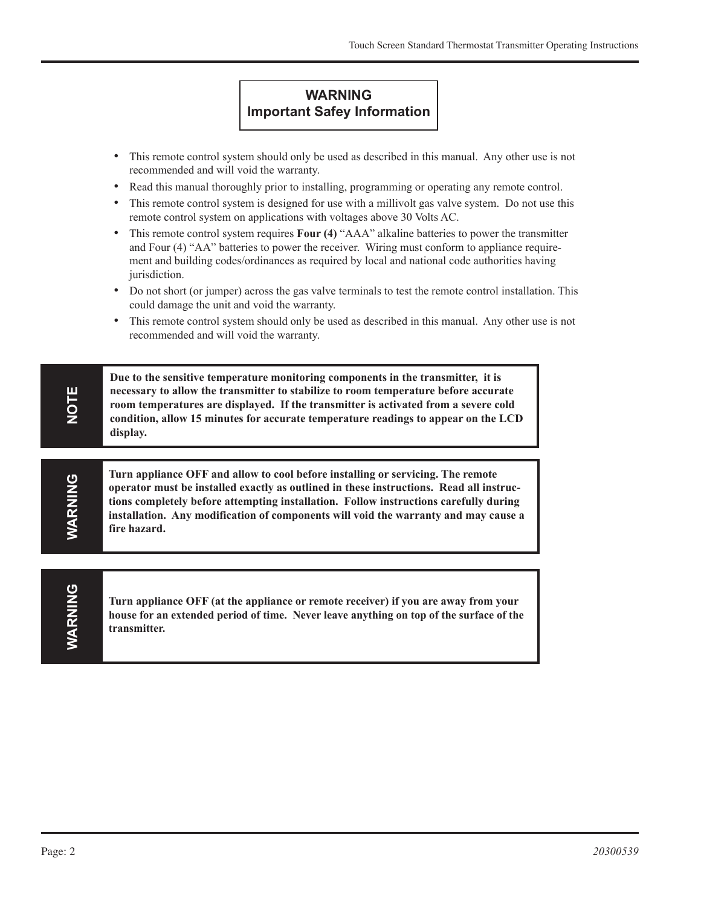# **WARNING Important Safey Information**

- This remote control system should only be used as described in this manual. Any other use is not recommended and will void the warranty.
- Read this manual thoroughly prior to installing, programming or operating any remote control.
- This remote control system is designed for use with a millivolt gas valve system. Do not use this remote control system on applications with voltages above 30 Volts AC.
- This remote control system requires **Four (4)** "AAA" alkaline batteries to power the transmitter and Four (4) "AA" batteries to power the receiver. Wiring must conform to appliance requirement and building codes/ordinances as required by local and national code authorities having jurisdiction.
- Do not short (or jumper) across the gas valve terminals to test the remote control installation. This could damage the unit and void the warranty.
- This remote control system should only be used as described in this manual. Any other use is not recommended and will void the warranty.

**Due to the sensitive temperature monitoring components in the transmitter, it is necessary to allow the transmitter to stabilize to room temperature before accurate room temperatures are displayed. If the transmitter is activated from a severe cold condition, allow 15 minutes for accurate temperature readings to appear on the LCD display.**

**Turn appliance OFF and allow to cool before installing or servicing. The remote operator must be installed exactly as outlined in these instructions. Read all instructions completely before attempting installation. Follow instructions carefully during installation. Any modification of components will void the warranty and may cause a fire hazard.**

WARNING **WARNING**

**NOTE**

**WARNING**

**MARNING** 

**Turn appliance OFF (at the appliance or remote receiver) if you are away from your house for an extended period of time. Never leave anything on top of the surface of the transmitter.**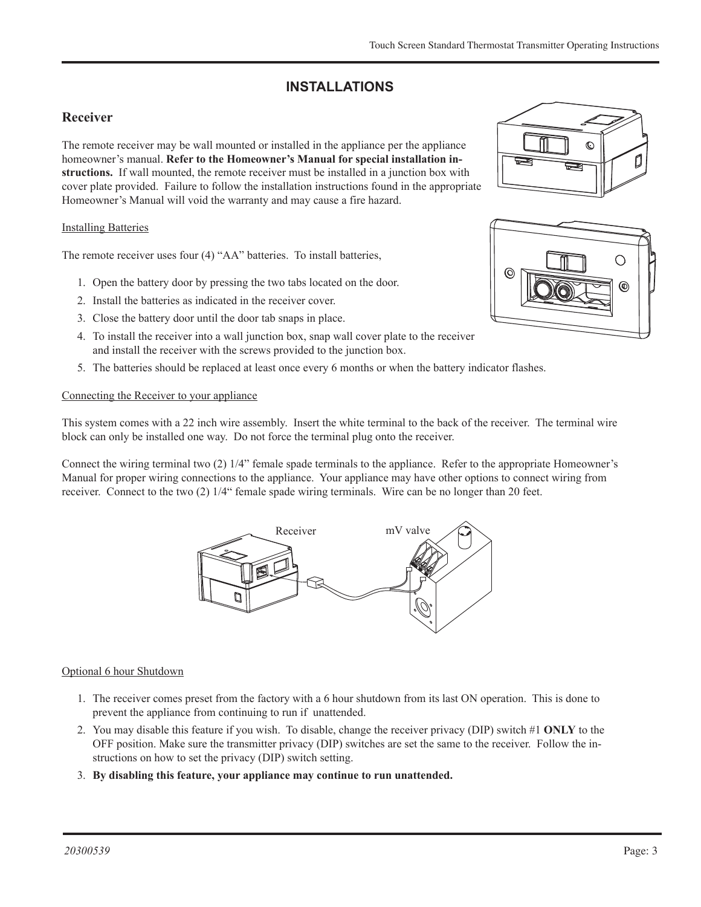# **INSTALLATIONS**

# **Receiver**

The remote receiver may be wall mounted or installed in the appliance per the appliance homeowner's manual. **Refer to the Homeowner's Manual for special installation instructions.** If wall mounted, the remote receiver must be installed in a junction box with cover plate provided. Failure to follow the installation instructions found in the appropriate Homeowner's Manual will void the warranty and may cause a fire hazard.

### Installing Batteries

The remote receiver uses four (4) "AA" batteries. To install batteries,

- 1. Open the battery door by pressing the two tabs located on the door.
- 2. Install the batteries as indicated in the receiver cover.
- 3. Close the battery door until the door tab snaps in place.
- 4. To install the receiver into a wall junction box, snap wall cover plate to the receiver and install the receiver with the screws provided to the junction box.
- 5. The batteries should be replaced at least once every 6 months or when the battery indicator flashes.

### Connecting the Receiver to your appliance

This system comes with a 22 inch wire assembly. Insert the white terminal to the back of the receiver. The terminal wire block can only be installed one way. Do not force the terminal plug onto the receiver. install batteries

Connect the wiring terminal two (2) 1/4" female spade terminals to the appliance. Refer to the appropriate Homeowner's Manual for proper wiring connections to the appliance. Your appliance may have other options to connect wiring from receiver. Connect to the two (2)  $1/4$ " female spade wiring terminals. Wire can be no longer than 20 feet.



# Optional 6 hour Shutdown

- 1. The receiver comes preset from the factory with a 6 hour shutdown from its last ON operation. This is done to prevent the appliance from continuing to run if unattended.
- 2. You may disable this feature if you wish. To disable, change the receiver privacy (DIP) switch #1 **ONLY** to the OFF position. Make sure the transmitter privacy (DIP) switches are set the same to the receiver. Follow the instructions on how to set the privacy (DIP) switch setting.
- 3. **By disabling this feature, your appliance may continue to run unattended.**



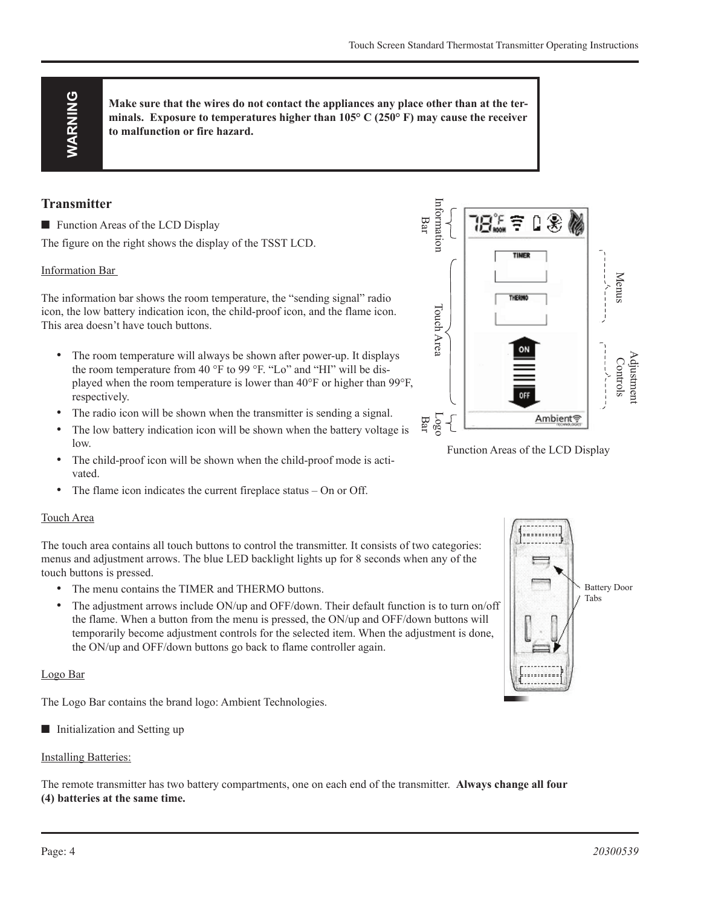**Make sure that the wires do not contact the appliances any place other than at the terminals. Exposure to temperatures higher than 105° C (250° F) may cause the receiver to malfunction or fire hazard.**

### **Transmitter**

 $\blacksquare$  Function Areas of the LCD Display

The figure on the right shows the display of the TSST LCD.

#### Information Bar

The information bar shows the room temperature, the "sending signal" radio icon, the low battery indication icon, the child-proof icon, and the flame icon. This area doesn't have touch buttons.

- The room temperature will always be shown after power-up. It displays the room temperature from 40 °F to 99 °F. "Lo" and "HI" will be displayed when the room temperature is lower than 40°F or higher than 99°F, respectively.
- The radio icon will be shown when the transmitter is sending a signal.
- The low battery indication icon will be shown when the battery voltage is low.
- The child-proof icon will be shown when the child-proof mode is activated.
- The flame icon indicates the current fireplace status On or Off.

#### Touch Area

The touch area contains all touch buttons to control the transmitter. It consists of two categories: menus and adjustment arrows. The blue LED backlight lights up for 8 seconds when any of the touch buttons is pressed.

- The menu contains the TIMER and THERMO buttons.
- The adjustment arrows include ON/up and OFF/down. Their default function is to turn on/off the flame. When a button from the menu is pressed, the ON/up and OFF/down buttons will temporarily become adjustment controls for the selected item. When the adjustment is done, the ON/up and OFF/down buttons go back to flame controller again.

#### Logo Bar

The Logo Bar contains the brand logo: Ambient Technologies.

■ Initialization and Setting up

# Installing Batteries:

The remote transmitter has two battery compartments, one on each end of the transmitter. **Always change all four (4) batteries at the same time.**



Function Areas of the LCD Display

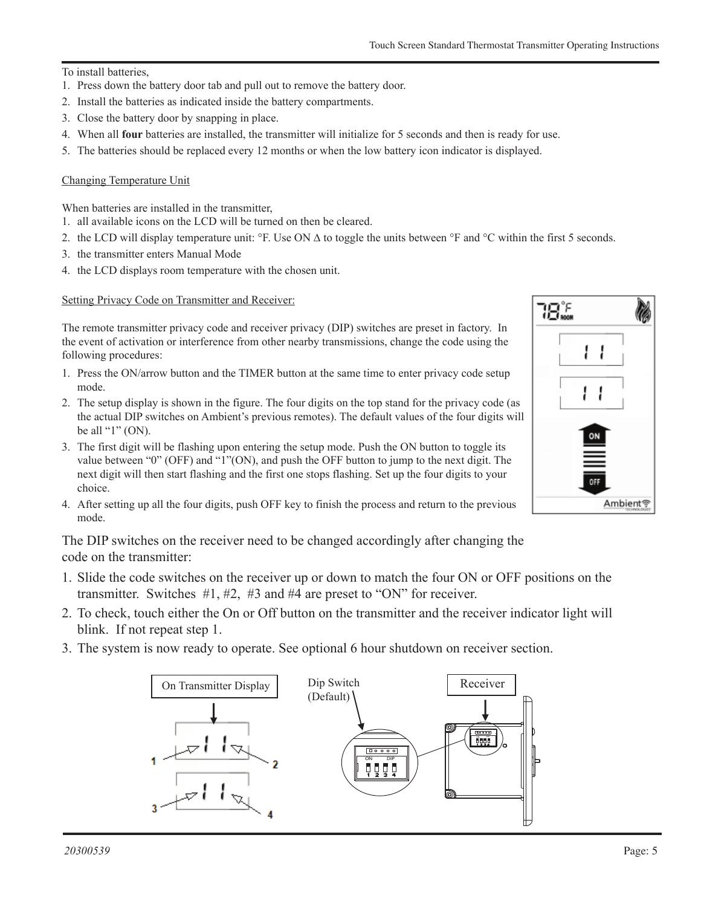#### To install batteries,

- 1. Press down the battery door tab and pull out to remove the battery door.
- 2. Install the batteries as indicated inside the battery compartments.
- 3. Close the battery door by snapping in place.
- 4. When all **four** batteries are installed, the transmitter will initialize for 5 seconds and then is ready for use.
- 5. The batteries should be replaced every 12 months or when the low battery icon indicator is displayed.

#### Changing Temperature Unit

When batteries are installed in the transmitter,

- 1. all available icons on the LCD will be turned on then be cleared.
- 2. the LCD will display temperature unit: °F. Use ON ∆ to toggle the units between °F and °C within the first 5 seconds.
- 3. the transmitter enters Manual Mode
- 4. the LCD displays room temperature with the chosen unit.

Setting Privacy Code on Transmitter and Receiver:

The remote transmitter privacy code and receiver privacy (DIP) switches are preset in factory. In the event of activation or interference from other nearby transmissions, change the code using the following procedures:

- 1. Press the ON/arrow button and the TIMER button at the same time to enter privacy code setup mode.
- 2. The setup display is shown in the figure. The four digits on the top stand for the privacy code (as the actual DIP switches on Ambient's previous remotes). The default values of the four digits will be all " $1$ " (ON).
- 3. The first digit will be flashing upon entering the setup mode. Push the ON button to toggle its value between "0" (OFF) and "1"(ON), and push the OFF button to jump to the next digit. The next digit will then start flashing and the first one stops flashing. Set up the four digits to your choice.
- 4. After setting up all the four digits, push OFF key to finish the process and return to the previous mode.

The DIP switches on the receiver need to be changed accordingly after changing the code on the transmitter:

- 1. Slide the code switches on the receiver up or down to match the four ON or OFF positions on the  $\frac{1}{2}$ transmitter. Switches #1, #2, #3 and #4 are preset to "ON" for receiver.
- 2. To check, touch either the On or Off button on the transmitter and the receiver indicator light will blink. If not repeat step 1.
- 3. The system is now ready to operate. See optional 6 hour shutdown on receiver section.



FP2609

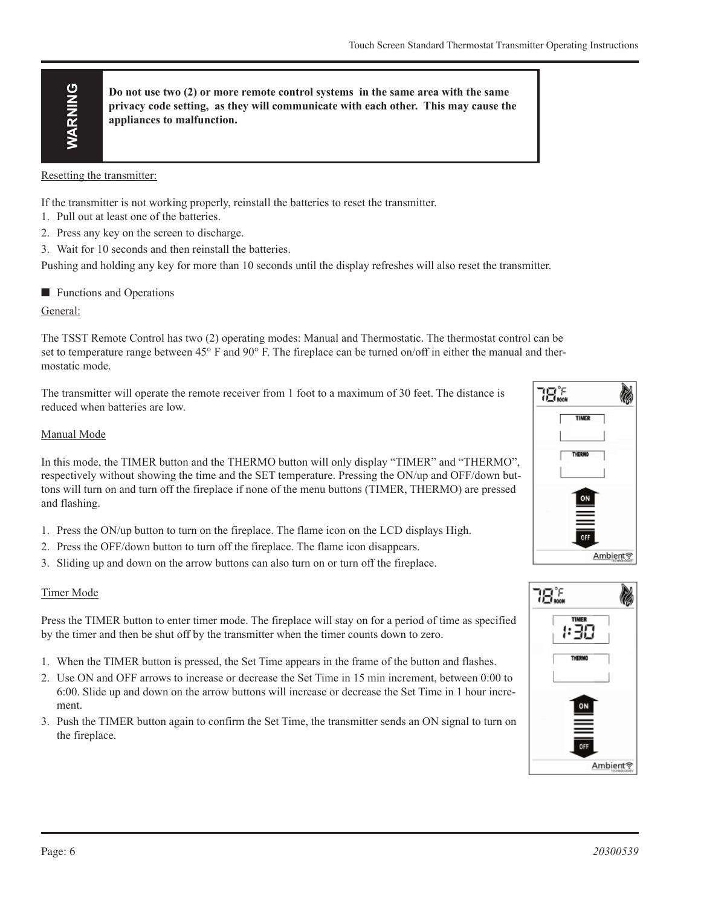**Do not use two (2) or more remote control systems in the same area with the same privacy code setting, as they will communicate with each other. This may cause the appliances to malfunction.**

Resetting the transmitter:

If the transmitter is not working properly, reinstall the batteries to reset the transmitter.

- 1. Pull out at least one of the batteries.
- 2. Press any key on the screen to discharge.
- 3. Wait for 10 seconds and then reinstall the batteries.

Pushing and holding any key for more than 10 seconds until the display refreshes will also reset the transmitter.

 $\blacksquare$  Functions and Operations

#### General:

The TSST Remote Control has two (2) operating modes: Manual and Thermostatic. The thermostat control can be set to temperature range between 45° F and 90° F. The fireplace can be turned on/off in either the manual and thermostatic mode.

The transmitter will operate the remote receiver from 1 foot to a maximum of 30 feet. The distance is reduced when batteries are low.

#### Manual Mode

**Example 2020 Conserver the control of the same tend of the same tend in the same of the latter and the same of the latter of the same of the same of the same of the same of the same of the burstice.<br>
<b>Example 2020 War** In this mode, the TIMER button and the THERMO button will only display "TIMER" and "THERMO", respectively without showing the time and the SET temperature. Pressing the ON/up and OFF/down buttons will turn on and turn off the fireplace if none of the menu buttons (TIMER, THERMO) are pressed and flashing.

- 1. Press the ON/up button to turn on the fireplace. The flame icon on the LCD displays High.
- 2. Press the OFF/down button to turn off the fireplace. The flame icon disappears.
- 3. Sliding up and down on the arrow buttons can also turn on or turn off the fireplace.

#### Timer Mode

Press the TIMER button to enter timer mode. The fireplace will stay on for a period of time as specified by the timer and then be shut off by the transmitter when the timer counts down to zero.

- 1. When the TIMER button is pressed, the Set Time appears in the frame of the button and flashes.
- 2. Use ON and OFF arrows to increase or decrease the Set Time in 15 min increment, between 0:00 to 6:00. Slide up and down on the arrow buttons will increase or decrease the Set Time in 1 hour increment.
- 3. Push the TIMER button again to confirm the Set Time, the transmitter sends an ON signal to turn on the fireplace.





timer mode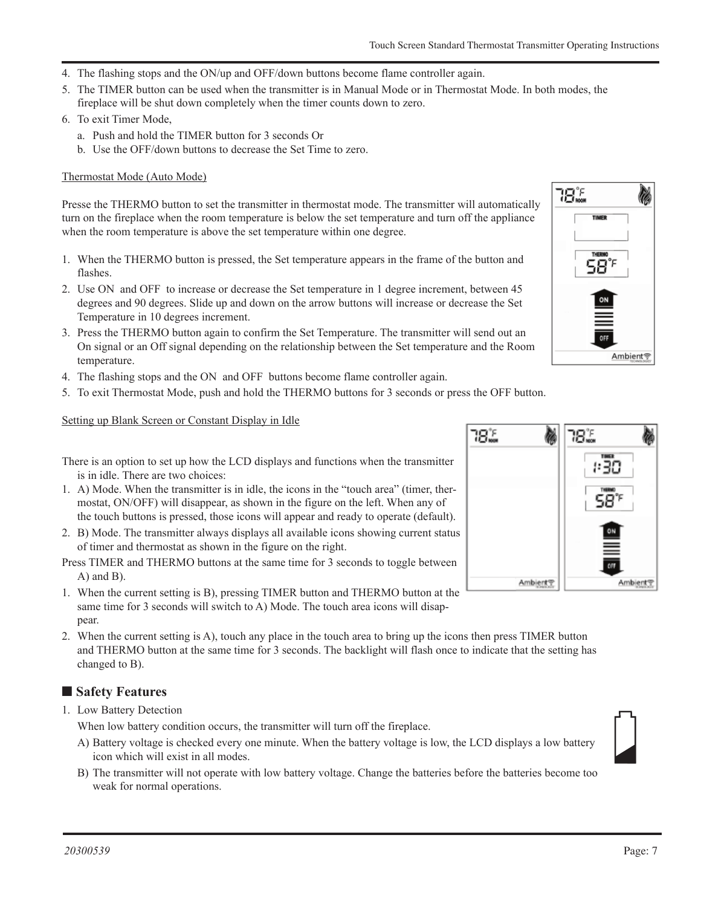- 4. The flashing stops and the ON/up and OFF/down buttons become flame controller again.
- 5. The TIMER button can be used when the transmitter is in Manual Mode or in Thermostat Mode. In both modes, the fireplace will be shut down completely when the timer counts down to zero.
- 6. To exit Timer Mode,
	- a. Push and hold the TIMER button for 3 seconds Or
	- b. Use the OFF/down buttons to decrease the Set Time to zero.

#### Thermostat Mode (Auto Mode)

Presse the THERMO button to set the transmitter in thermostat mode. The transmitter will automatically turn on the fireplace when the room temperature is below the set temperature and turn off the appliance when the room temperature is above the set temperature within one degree.

- 1. When the THERMO button is pressed, the Set temperature appears in the frame of the button and flashes.
- 2. Use ON and OFF to increase or decrease the Set temperature in 1 degree increment, between 45 degrees and 90 degrees. Slide up and down on the arrow buttons will increase or decrease the Set Temperature in 10 degrees increment.
- 3. Press the THERMO button again to confirm the Set Temperature. The transmitter will send out an On signal or an Off signal depending on the relationship between the Set temperature and the Room temperature.
- 4. The flashing stops and the ON and OFF buttons become flame controller again.
- 5. To exit Thermostat Mode, push and hold the THERMO buttons for 3 seconds or press the OFF button.

#### Setting up Blank Screen or Constant Display in Idle

There is an option to set up how the LCD displays and functions when the transmitter is in idle. There are two choices:

- 1. A) Mode. When the transmitter is in idle, the icons in the "touch area" (timer, thermostat, ON/OFF) will disappear, as shown in the figure on the left. When any of the touch buttons is pressed, those icons will appear and ready to operate (default).
- 2. B) Mode. The transmitter always displays all available icons showing current status of timer and thermostat as shown in the figure on the right.
- Press TIMER and THERMO buttons at the same time for 3 seconds to toggle between A) and B).
- 1. When the current setting is B), pressing TIMER button and THERMO button at the same time for 3 seconds will switch to A) Mode. The touch area icons will disappear.
- 2. When the current setting is A), touch any place in the touch area to bring up the icons then press TIMER button when the current setting is A), touch any place in the touch area to bring up the icons then press TIMER button<br>and THERMO button at the same time for 3 seconds. The backlight will flash once to indicate that the setting h changed to B). FP2620

# ■ Safety Features

1. Low Battery Detection

When low battery condition occurs, the transmitter will turn off the fireplace.

- A) Battery voltage is checked every one minute. When the battery voltage is low, the LCD displays a low battery icon which will exist in all modes.
- B) The transmitter will not operate with low battery voltage. Change the batteries before the batteries become too weak for normal operations.



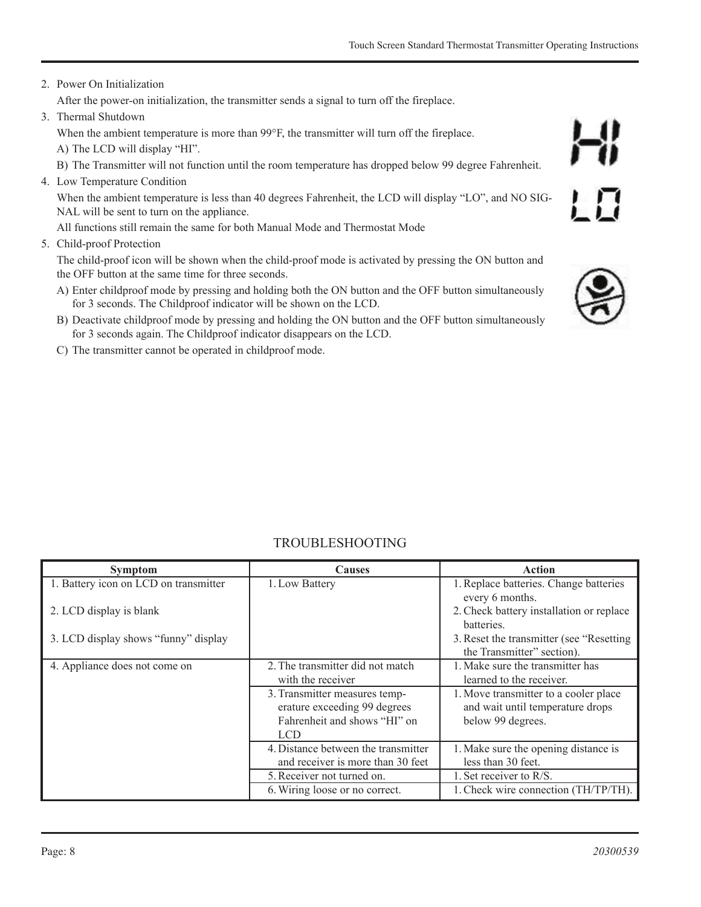#### 2. Power On Initialization

After the power-on initialization, the transmitter sends a signal to turn off the fireplace.

3. Thermal Shutdown

When the ambient temperature is more than 99°F, the transmitter will turn off the fireplace.

- A) The LCD will display "HI".
- B) The Transmitter will not function until the room temperature has dropped below 99 degree Fahrenheit.
- 4. Low Temperature Condition

When the ambient temperature is less than 40 degrees Fahrenheit, the LCD will display "LO", and NO SIG-NAL will be sent to turn on the appliance.

All functions still remain the same for both Manual Mode and Thermostat Mode

5. Child-proof Protection

The child-proof icon will be shown when the child-proof mode is activated by pressing the ON button and the OFF button at the same time for three seconds.

- A) Enter childproof mode by pressing and holding both the ON button and the OFF button simultaneously for 3 seconds. The Childproof indicator will be shown on the LCD.
- B) Deactivate childproof mode by pressing and holding the ON button and the OFF button simultaneously for 3 seconds again. The Childproof indicator disappears on the LCD.
- C) The transmitter cannot be operated in childproof mode.

| <b>Symptom</b>                        | <b>Causes</b>                                                                                         | <b>Action</b>                                                                                  |
|---------------------------------------|-------------------------------------------------------------------------------------------------------|------------------------------------------------------------------------------------------------|
| 1. Battery icon on LCD on transmitter | 1. Low Battery                                                                                        | 1. Replace batteries. Change batteries<br>every 6 months.                                      |
| 2. LCD display is blank               |                                                                                                       | 2. Check battery installation or replace<br>batteries.                                         |
| 3. LCD display shows "funny" display  |                                                                                                       | 3. Reset the transmitter (see "Resetting")<br>the Transmitter" section).                       |
| 4. Appliance does not come on         | 2. The transmitter did not match<br>with the receiver                                                 | 1. Make sure the transmitter has<br>learned to the receiver.                                   |
|                                       | 3. Transmitter measures temp-<br>erature exceeding 99 degrees<br>Fahrenheit and shows "HI" on<br>LCD. | 1. Move transmitter to a cooler place<br>and wait until temperature drops<br>below 99 degrees. |
|                                       | 4. Distance between the transmitter<br>and receiver is more than 30 feet                              | 1. Make sure the opening distance is<br>less than 30 feet.                                     |
|                                       | 5. Receiver not turned on.                                                                            | 1. Set receiver to R/S.                                                                        |
|                                       | 6. Wiring loose or no correct.                                                                        | 1. Check wire connection (TH/TP/TH).                                                           |

# TROUBLESHOOTING



 $LD$